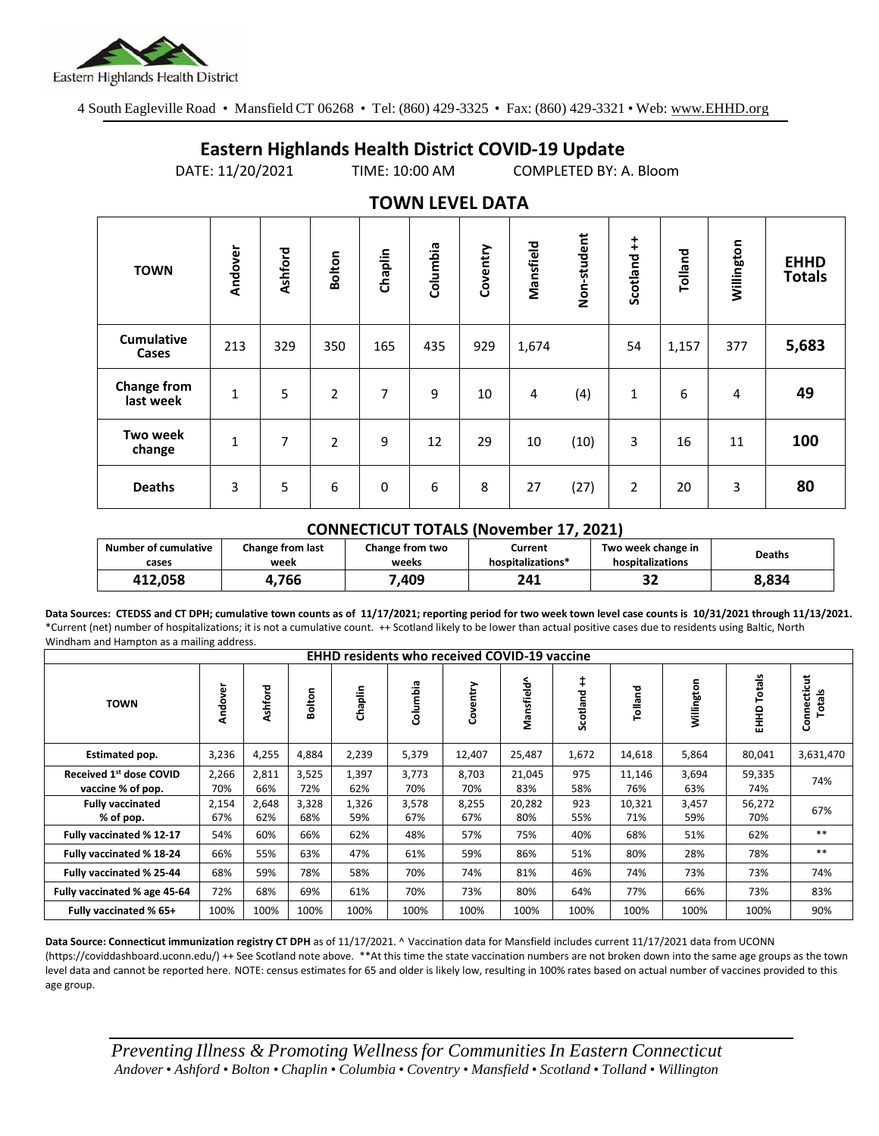

4 South Eagleville Road • Mansfield CT 06268 • Tel: (860) 429-3325 • Fax: (860) 429-3321 • Web: www.EHHD.org

## **Eastern Highlands Health District COVID-19 Update**

DATE: 11/20/2021 TIME: 10:00 AM COMPLETED BY: A. Bloom

| . <i>.</i> .                    |              |         |                |         |          |          |           |             |                |         |            |                              |
|---------------------------------|--------------|---------|----------------|---------|----------|----------|-----------|-------------|----------------|---------|------------|------------------------------|
| <b>TOWN</b>                     | Andover      | Ashford | <b>Bolton</b>  | Chaplin | Columbia | Coventry | Mansfield | Non-student | ŧ<br>Scotland  | Tolland | Willington | <b>EHHD</b><br><b>Totals</b> |
| <b>Cumulative</b><br>Cases      | 213          | 329     | 350            | 165     | 435      | 929      | 1,674     |             | 54             | 1,157   | 377        | 5,683                        |
| <b>Change from</b><br>last week | 1            | 5       | $\overline{2}$ | 7       | 9        | 10       | 4         | (4)         | $\mathbf 1$    | 6       | 4          | 49                           |
| <b>Two week</b><br>change       | $\mathbf{1}$ | 7       | $\overline{2}$ | 9       | 12       | 29       | 10        | (10)        | 3              | 16      | 11         | 100                          |
| <b>Deaths</b>                   | 3            | 5       | 6              | 0       | 6        | 8        | 27        | (27)        | $\overline{2}$ | 20      | 3          | 80                           |

## **TOWN LEVEL DATA**

## **CONNECTICUT TOTALS (November 17, 2021)**

| <b>Number of cumulative</b> | <b>Change from last</b> | <b>Change from two</b> | Current           | Two week change in | Deaths |  |
|-----------------------------|-------------------------|------------------------|-------------------|--------------------|--------|--|
| cases                       | week                    | weeks                  | hospitalizations* | hospitalizations   |        |  |
| 412.058                     | 766                     | .409                   | 241               | JZ                 | 8,834  |  |

**Data Sources: CTEDSS and CT DPH; cumulative town counts as of 11/17/2021; reporting period for two week town level case counts is 10/31/2021 through 11/13/2021.** \*Current (net) number of hospitalizations; it is not a cumulative count. ++ Scotland likely to be lower than actual positive cases due to residents using Baltic, North Windham and Hampton as a mailing address.

| <b>EHHD residents who received COVID-19 vaccine</b> |              |              |              |              |               |              |               |            |               |              |                  |                       |
|-----------------------------------------------------|--------------|--------------|--------------|--------------|---------------|--------------|---------------|------------|---------------|--------------|------------------|-----------------------|
| <b>TOWN</b>                                         | Andover      | Ashford      | Bolton       | Chaplin      | umbia<br>శ్రే | Coventry     | Mansfield^    | Scotland   | Tolland       | Willington   | Totals<br>요<br>표 | Connecticut<br>Totals |
| Estimated pop.                                      | 3,236        | 4,255        | 4,884        | 2,239        | 5,379         | 12,407       | 25,487        | 1,672      | 14,618        | 5,864        | 80,041           | 3,631,470             |
| Received 1st dose COVID<br>vaccine % of pop.        | 2,266<br>70% | 2,811<br>66% | 3,525<br>72% | 1,397<br>62% | 3,773<br>70%  | 8,703<br>70% | 21,045<br>83% | 975<br>58% | 11,146<br>76% | 3,694<br>63% | 59,335<br>74%    | 74%                   |
| <b>Fully vaccinated</b><br>% of pop.                | 2,154<br>67% | 2,648<br>62% | 3,328<br>68% | 1,326<br>59% | 3,578<br>67%  | 8,255<br>67% | 20,282<br>80% | 923<br>55% | 10,321<br>71% | 3,457<br>59% | 56,272<br>70%    | 67%                   |
| Fully vaccinated % 12-17                            | 54%          | 60%          | 66%          | 62%          | 48%           | 57%          | 75%           | 40%        | 68%           | 51%          | 62%              | $***$                 |
| Fully vaccinated % 18-24                            | 66%          | 55%          | 63%          | 47%          | 61%           | 59%          | 86%           | 51%        | 80%           | 28%          | 78%              | $***$                 |
| Fully vaccinated % 25-44                            | 68%          | 59%          | 78%          | 58%          | 70%           | 74%          | 81%           | 46%        | 74%           | 73%          | 73%              | 74%                   |
| Fully vaccinated % age 45-64                        | 72%          | 68%          | 69%          | 61%          | 70%           | 73%          | 80%           | 64%        | 77%           | 66%          | 73%              | 83%                   |
| Fully vaccinated % 65+                              | 100%         | 100%         | 100%         | 100%         | 100%          | 100%         | 100%          | 100%       | 100%          | 100%         | 100%             | 90%                   |

**Data Source: Connecticut immunization registry CT DPH** as of 11/17/2021. ^ Vaccination data for Mansfield includes current 11/17/2021 data from UCONN (https://coviddashboard.uconn.edu/) ++ See Scotland note above. \*\*At this time the state vaccination numbers are not broken down into the same age groups as the town level data and cannot be reported here. NOTE: census estimates for 65 and older is likely low, resulting in 100% rates based on actual number of vaccines provided to this age group.

*Preventing Illness & Promoting Wellnessfor Communities In Eastern Connecticut* Andover . Ashford . Bolton . Chaplin . Columbia . Coventry . Mansfield . Scotland . Tolland . Willington